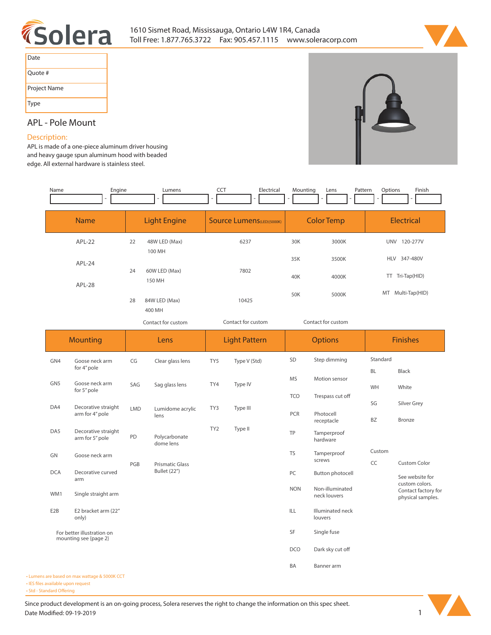



| Date         |
|--------------|
| Quote #      |
| Project Name |
| Type         |

# **APL - Pole Mount**

# **Description:**

**APL is made of a one-piece aluminum driver housing and heavy gauge spun aluminum hood with beaded edge. All external hardware is stainless steel.**

| Name                                                | Engine                                 |                               | Lumens                     | <b>CCT</b>                        | Electrical           | Mounting           | Lens<br>Pattern                            | Options                                   | Finish                                                   |  |
|-----------------------------------------------------|----------------------------------------|-------------------------------|----------------------------|-----------------------------------|----------------------|--------------------|--------------------------------------------|-------------------------------------------|----------------------------------------------------------|--|
| <b>Name</b>                                         |                                        | <b>Light Engine</b>           |                            | <b>Source Lumens</b> (LED)(5000K) |                      | <b>Color Temp</b>  |                                            | <b>Electrical</b>                         |                                                          |  |
| APL-22                                              |                                        | 22<br>48W LED (Max)<br>100 MH |                            | 6237                              |                      | 30K                | 3000K                                      | UNV 120-277V                              |                                                          |  |
| APL-24<br><b>APL-28</b>                             |                                        | 60W LED (Max)<br>24           |                            | 7802                              |                      | 35K<br>40K         | 3500K<br>4000K                             | 347-480V<br><b>HLV</b><br>TT Tri-Tap(HID) |                                                          |  |
|                                                     |                                        | 150 MH<br>84W LED (Max)<br>28 |                            | 10425                             |                      | 50K                | 5000K                                      | MT Multi-Tap(HID)                         |                                                          |  |
|                                                     |                                        | 400 MH<br>Contact for custom  |                            | Contact for custom                |                      | Contact for custom |                                            |                                           |                                                          |  |
|                                                     | <b>Mounting</b>                        |                               | Lens                       |                                   | <b>Light Pattern</b> |                    | <b>Options</b>                             |                                           | <b>Finishes</b>                                          |  |
| GN4                                                 | Goose neck arm<br>for 4" pole          | CG                            | Clear glass lens           | TY5                               | Type V (Std)         | SD                 | Step dimming                               | Standard<br>BL                            | <b>Black</b>                                             |  |
| GN <sub>5</sub>                                     | Goose neck arm<br>for 5" pole          | SAG                           | Sag glass lens             | TY4                               | Type IV              | <b>MS</b>          | Motion sensor                              | WH                                        | White                                                    |  |
| DA4                                                 | Decorative straight<br>arm for 4" pole | <b>LMD</b>                    | Lumidome acrylic<br>lens   | TY3                               | Type III             | <b>TCO</b><br>PCR  | Trespass cut off<br>Photocell              | SG                                        | Silver Grey                                              |  |
| DA5                                                 | Decorative straight<br>arm for 5" pole | PD                            | Polycarbonate<br>dome lens | TY <sub>2</sub>                   | Type II              | <b>TP</b>          | receptacle<br>Tamperproof<br>hardware      | BZ                                        | <b>Bronze</b>                                            |  |
| GN                                                  | Goose neck arm                         | PGB                           | <b>Prismatic Glass</b>     |                                   |                      | <b>TS</b>          | Tamperproof<br>screws                      | Custom<br>CC                              | Custom Color                                             |  |
| <b>DCA</b>                                          | Decorative curved<br>arm               |                               | <b>Bullet (22")</b>        |                                   |                      | PC<br><b>NON</b>   | <b>Button photocell</b><br>Non-illuminated |                                           | See website for<br>custom colors.<br>Contact factory for |  |
| WM1                                                 | Single straight arm                    |                               |                            |                                   |                      |                    | neck louvers                               |                                           | physical samples.                                        |  |
| E <sub>2</sub> B                                    | E2 bracket arm (22"<br>only)           |                               |                            |                                   |                      | ILL                | Illuminated neck<br>louvers                |                                           |                                                          |  |
| For better illustration on<br>mounting see {page 2} |                                        |                               |                            |                                   |                      | SF                 | Single fuse                                |                                           |                                                          |  |
|                                                     |                                        |                               |                            |                                   |                      | <b>DCO</b><br>BA   | Dark sky cut off<br>Banner arm             |                                           |                                                          |  |
| ns are based on max wattage & 5000K CCT             |                                        |                               |                            |                                   |                      |                    |                                            |                                           |                                                          |  |

**• Lumen • IES files available upon request** 

• Std - Standard Offering

Since product development is an on-going process, Solera reserves the right to change the information on this spec sheet. **Date Modified: 09-19-2019** 1